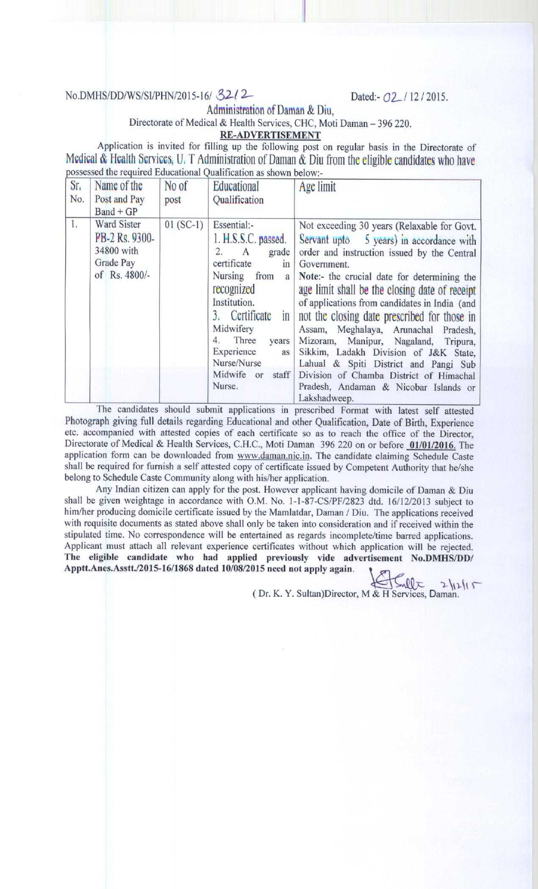## No.DMHS/DD/WS/SI/PHN/2015-16/ 32/2<br>Dated:- 02 / 12 / 2015.

**Administration of Daman & Diu,**

## **Directorate of Medical & Health** Services, CHC, **Moti Daman** - 396 220.

**RE-ADVERTISEMENT**

**Application is invited for filling up the following post on regular basis in the Directorate of Medical & Health bcrvicc5** , U. T Administration **of Daman** & **Diu from the eligible candidates who have** possessed the required Educational Qualification as shown below:-

| Sr <sub>1</sub><br>No. | Name of the<br>Post and Pay<br>$Band + GP$                                | No of<br>post | Educational<br>Qualification                                                                                                                                                                                                                                                      | Age limit                                                                                                                                                                                                                                                                                                                                                                                                                                                                                                                                                                                                                     |
|------------------------|---------------------------------------------------------------------------|---------------|-----------------------------------------------------------------------------------------------------------------------------------------------------------------------------------------------------------------------------------------------------------------------------------|-------------------------------------------------------------------------------------------------------------------------------------------------------------------------------------------------------------------------------------------------------------------------------------------------------------------------------------------------------------------------------------------------------------------------------------------------------------------------------------------------------------------------------------------------------------------------------------------------------------------------------|
| 1.                     | Ward Sister<br>PB-2 Rs. 9300-<br>34800 with<br>Grade Pay<br>of Rs. 4800/- | $01(SC-1)$    | Essential:-<br>1. H.S.S.C. passed.<br>2.<br>grade<br>A<br>certificate<br>$_{\text{1D}}$<br>Nursing<br>from<br>a<br>recognized<br>Institution.<br>3. Certificate<br>$\ln$<br>Midwifery<br>Three<br>4.<br>years<br>Experience<br>as<br>Nurse/Nurse<br>Midwife or<br>staff<br>Nurse. | Not exceeding 30 years (Relaxable for Govt.<br>Servant upto 5 years) in accordance with<br>order and instruction issued by the Central<br>Government.<br>Note:- the crucial date for determining the<br>age limit shall be the closing date of receipt<br>of applications from candidates in India (and<br>not the closing date prescribed for those in<br>Assam, Meghalaya, Arunachal Pradesh,<br>Mizoram, Manipur, Nagaland, Tripura,<br>Sikkim, Ladakh Division of J&K State,<br>Lahual & Spiti District and Pangi Sub<br>Division of Chamba District of Himachal<br>Pradesh, Andaman & Nicobar Islands or<br>Lakshadweep. |

The candidates should submit applications in prescribed Format with latest self attested Photograph giving full details regarding Educational and other Qualification, Date of Birth, Experience etc. accompanied with attested copies of each certificate so as to reach the office of the Director, Directorate of Medical & Health Services, C.H.C., Moti Daman 396 220 on or before **01/01**/2016. The application form can be downloaded from www.daman.nic.in. The candidate claiming Schedule Caste shall be required for furnish a self attested copy of certificate issued by Competent Authority that he/she belong to Schedule Caste Community along with his/her application.

Any Indian citizen can apply for the post. However applicant having domicile of Daman & Diu shall be given weightage in accordance with O.M. No. 1-1-87-CS/PF/2823 dtd. 16/12/2013 subject to him/her producing domicile certificate issued by the Mamlatdar, Daman / Diu. The applications received with requisite documents as stated above shall only be taken into consideration and if received within the stipulated time. No correspondence will be entertained as regards incomplete/time barred applications. Applicant must attach all relevant experience certificates without which application will be rejected. **The eligible candidate who had applied previously vide advertisement No.DMHS/DD/** Apptt.Anes.Asstt./2015- **16/1868 dated 10/08**/**2015 need not apply again. 1**

 $J$   $\sqrt{2}$   $2\sqrt{2}$ (Dr. K. Y. **Sultan**)**Director**, **M & H Services, Daman.**